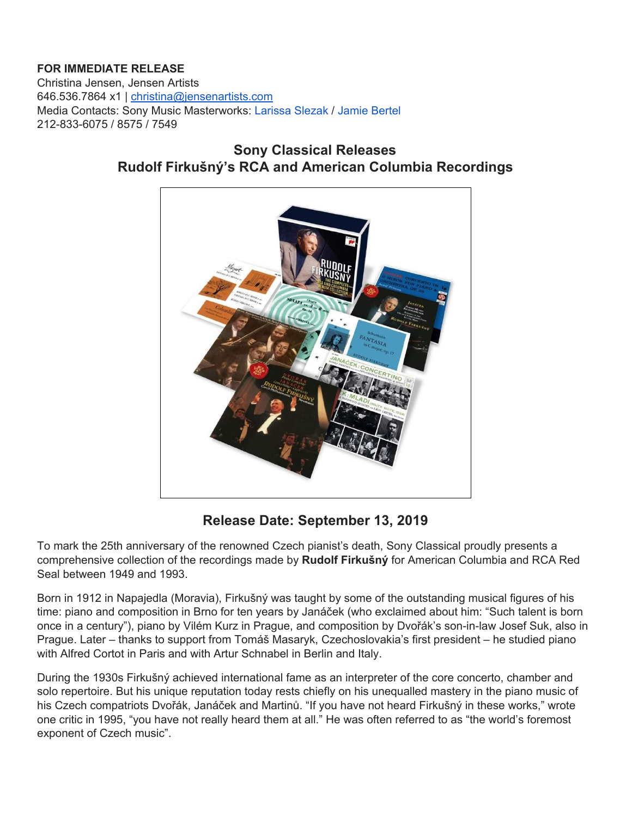## **FOR IMMEDIATE RELEASE**

Christina Jensen, Jensen Artists 646.536.7864 x1 | [christina@jensenartists.com](mailto:christina@jensenartists.com) Media Contacts: Sony Music Masterworks: Larissa Slezak / Jamie Bertel 212-833-6075 / 8575 / 7549

## **Sony Classical Releases Rudolf Firkušný's RCA and American Columbia Recordings**



**Release Date: September 13, 2019**

To mark the 25th anniversary of the renowned Czech pianist's death, Sony Classical proudly presents a comprehensive collection of the recordings made by **Rudolf Firkušný** for American Columbia and RCA Red Seal between 1949 and 1993.

Born in 1912 in Napajedla (Moravia), Firkušný was taught by some of the outstanding musical figures of his time: piano and composition in Brno for ten years by Janáček (who exclaimed about him: "Such talent is born once in a century"), piano by Vilém Kurz in Prague, and composition by Dvořák's son-in-law Josef Suk, also in Prague. Later – thanks to support from Tomáš Masaryk, Czechoslovakia's first president – he studied piano with Alfred Cortot in Paris and with Artur Schnabel in Berlin and Italy.

During the 1930s Firkušný achieved international fame as an interpreter of the core concerto, chamber and solo repertoire. But his unique reputation today rests chiefly on his unequalled mastery in the piano music of his Czech compatriots Dvořák, Janáček and Martinů. "If you have not heard Firkušný in these works," wrote one critic in 1995, "you have not really heard them at all." He was often referred to as "the world's foremost exponent of Czech music".